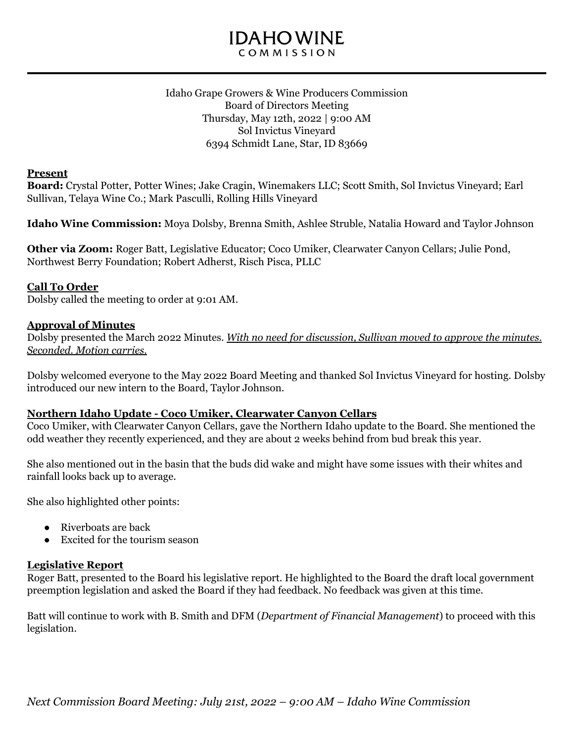# **IDAHOWINE** COMMISSION

#### Idaho Grape Growers & Wine Producers Commission Board of Directors Meeting Thursday, May 12th, 2022 | 9:00 AM Sol Invictus Vineyard 6394 Schmidt Lane, Star, ID 83669

#### **Present**

**Board:** Crystal Potter, Potter Wines; Jake Cragin, Winemakers LLC; Scott Smith, Sol Invictus Vineyard; Earl Sullivan, Telaya Wine Co.; Mark Pasculli, Rolling Hills Vineyard

**Idaho Wine Commission:** Moya Dolsby, Brenna Smith, Ashlee Struble, Natalia Howard and Taylor Johnson

**Other via Zoom:** Roger Batt, Legislative Educator; Coco Umiker, Clearwater Canyon Cellars; Julie Pond, Northwest Berry Foundation; Robert Adherst, Risch Pisca, PLLC

### **Call To Order**

Dolsby called the meeting to order at 9:01 AM.

#### **Approval of Minutes**

Dolsby presented the March 2022 Minutes. *With no need for discussion, Sullivan moved to approve the minutes. Seconded. Motion carries.*

Dolsby welcomed everyone to the May 2022 Board Meeting and thanked Sol Invictus Vineyard for hosting. Dolsby introduced our new intern to the Board, Taylor Johnson.

#### **Northern Idaho Update - Coco Umiker, Clearwater Canyon Cellars**

Coco Umiker, with Clearwater Canyon Cellars, gave the Northern Idaho update to the Board. She mentioned the odd weather they recently experienced, and they are about 2 weeks behind from bud break this year.

She also mentioned out in the basin that the buds did wake and might have some issues with their whites and rainfall looks back up to average.

She also highlighted other points:

- Riverboats are back
- Excited for the tourism season

### **Legislative Report**

Roger Batt, presented to the Board his legislative report. He highlighted to the Board the draft local government preemption legislation and asked the Board if they had feedback. No feedback was given at this time.

Batt will continue to work with B. Smith and DFM (*Department of Financial Management*) to proceed with this legislation.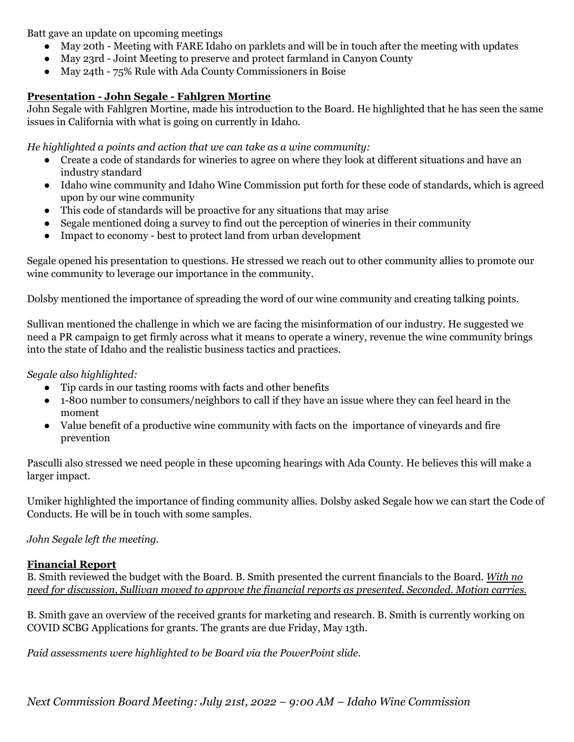Batt gave an update on upcoming meetings

- May 20th Meeting with FARE Idaho on parklets and will be in touch after the meeting with updates
- May 23rd Joint Meeting to preserve and protect farmland in Canyon County
- May 24th 75% Rule with Ada County Commissioners in Boise

# **Presentation - John Segale - Fahlgren Mortine**

John Segale with Fahlgren Mortine, made his introduction to the Board. He highlighted that he has seen the same issues in California with what is going on currently in Idaho.

*He highlighted a points and action that we can take as a wine community:*

- Create a code of standards for wineries to agree on where they look at different situations and have an industry standard
- Idaho wine community and Idaho Wine Commission put forth for these code of standards, which is agreed upon by our wine community
- This code of standards will be proactive for any situations that may arise
- Segale mentioned doing a survey to find out the perception of wineries in their community
- Impact to economy best to protect land from urban development

Segale opened his presentation to questions. He stressed we reach out to other community allies to promote our wine community to leverage our importance in the community.

Dolsby mentioned the importance of spreading the word of our wine community and creating talking points.

Sullivan mentioned the challenge in which we are facing the misinformation of our industry. He suggested we need a PR campaign to get firmly across what it means to operate a winery, revenue the wine community brings into the state of Idaho and the realistic business tactics and practices.

*Segale also highlighted:*

- Tip cards in our tasting rooms with facts and other benefits
- 1-800 number to consumers/neighbors to call if they have an issue where they can feel heard in the moment
- Value benefit of a productive wine community with facts on the importance of vineyards and fire prevention

Pasculli also stressed we need people in these upcoming hearings with Ada County. He believes this will make a larger impact.

Umiker highlighted the importance of finding community allies. Dolsby asked Segale how we can start the Code of Conducts. He will be in touch with some samples.

# *John Segale left the meeting.*

# **Financial Report**

B. Smith reviewed the budget with the Board. B. Smith presented the current financials to the Board. *With no need for discussion, Sullivan moved to approve the financial reports as presented. Seconded. Motion carries.*

B. Smith gave an overview of the received grants for marketing and research. B. Smith is currently working on COVID SCBG Applications for grants. The grants are due Friday, May 13th.

*Paid assessments were highlighted to be Board via the PowerPoint slide.*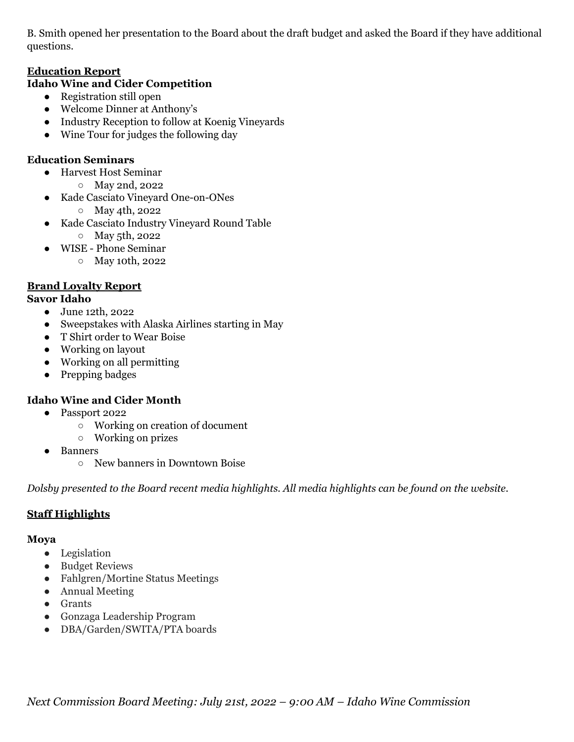B. Smith opened her presentation to the Board about the draft budget and asked the Board if they have additional questions.

### **Education Report**

### **Idaho Wine and Cider Competition**

- Registration still open
- Welcome Dinner at Anthony's
- Industry Reception to follow at Koenig Vineyards
- Wine Tour for judges the following day

### **Education Seminars**

- Harvest Host Seminar
	- May 2nd, 2022
- Kade Casciato Vineyard One-on-ONes
	- May 4th, 2022
- Kade Casciato Industry Vineyard Round Table
	- May 5th, 2022
- WISE Phone Seminar
	- May 10th, 2022

# **Brand Loyalty Report**

### **Savor Idaho**

- June 12th, 2022
- Sweepstakes with Alaska Airlines starting in May
- T Shirt order to Wear Boise
- Working on layout
- Working on all permitting
- Prepping badges

# **Idaho Wine and Cider Month**

- Passport 2022
	- Working on creation of document
	- Working on prizes
- Banners
	- New banners in Downtown Boise

*Dolsby presented to the Board recent media highlights. All media highlights can be found on the website.*

# **Staff Highlights**

### **Moya**

- Legislation
- Budget Reviews
- Fahlgren/Mortine Status Meetings
- Annual Meeting
- Grants
- Gonzaga Leadership Program
- DBA/Garden/SWITA/PTA boards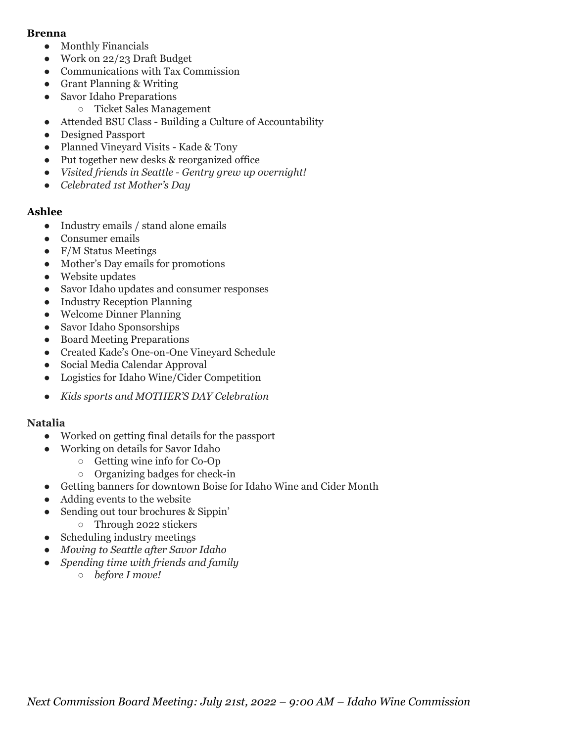#### **Brenna**

- Monthly Financials
- Work on 22/23 Draft Budget
- Communications with Tax Commission
- Grant Planning & Writing
- Savor Idaho Preparations
	- Ticket Sales Management
- Attended BSU Class Building a Culture of Accountability
- Designed Passport
- Planned Vineyard Visits Kade & Tony
- Put together new desks & reorganized office
- *● Visited friends in Seattle - Gentry grew up overnight!*
- *● Celebrated 1st Mother's Day*

#### **Ashlee**

- Industry emails / stand alone emails
- Consumer emails
- F/M Status Meetings
- Mother's Day emails for promotions
- Website updates
- Savor Idaho updates and consumer responses
- Industry Reception Planning
- Welcome Dinner Planning
- Savor Idaho Sponsorships
- Board Meeting Preparations
- Created Kade's One-on-One Vineyard Schedule
- Social Media Calendar Approval
- Logistics for Idaho Wine/Cider Competition
- *Kids sports and MOTHER'S DAY Celebration*

### **Natalia**

- Worked on getting final details for the passport
- Working on details for Savor Idaho
	- Getting wine info for Co-Op
	- Organizing badges for check-in
- Getting banners for downtown Boise for Idaho Wine and Cider Month
- Adding events to the website
- Sending out tour brochures & Sippin'
- Through 2022 stickers
- Scheduling industry meetings
- *● Moving to Seattle after Savor Idaho*
- *● Spending time with friends and family*
	- *○ before I move!*